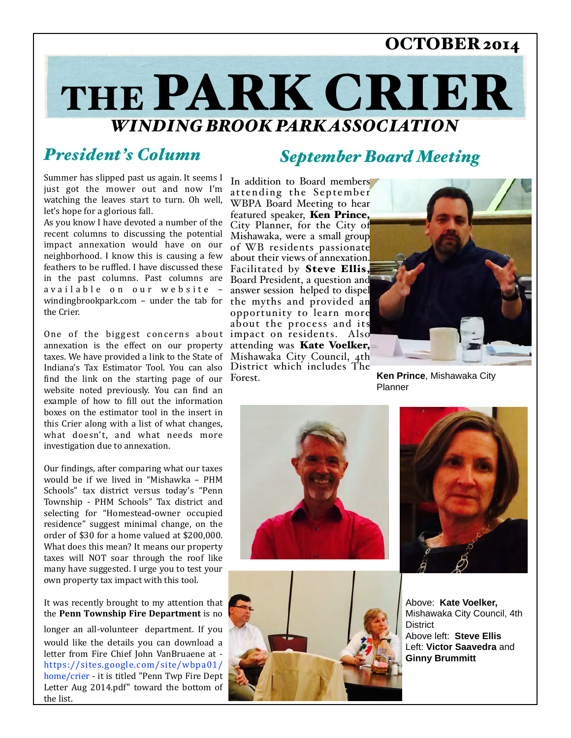## OCTOBER 2014

# THE PARK CRIER *WINDING BROOK PARK ASSOCIATION*

## *President's Column*

Summer has slipped past us again. It seems I just got the mower out and now I'm watching the leaves start to turn. Oh well, let's hope for a glorious fall.

in the past columns. Past columns are Board President, a question and windingbrookpark.com - under the tab for the myths and provided an As you know I have devoted a number of the recent columns to discussing the potential impact annexation would have on our neighborhood. I know this is causing a few feathers to be ruffled. I have discussed these available on our website the Crier.

One of the biggest concerns about impact on residents. Also find the link on the starting page of our Forest. annexation is the effect on our property taxes. We have provided a link to the State of Indiana's Tax Estimator Tool. You can also website noted previously. You can find an example of how to fill out the information boxes on the estimator tool in the insert in this Crier along with a list of what changes, what doesn't, and what needs more investigation due to annexation.

Our findings, after comparing what our taxes would be if we lived in "Mishawka - PHM Schools" tax district versus today's "Penn Township - PHM Schools" Tax district and selecting for "Homestead-owner occupied residence" suggest minimal change, on the order of \$30 for a home valued at \$200,000. What does this mean? It means our property taxes will NOT soar through the roof like many have suggested. I urge you to test your own property tax impact with this tool.

It was recently brought to my attention that the **Penn Township Fire Department** is no

longer an all-volunteer department. If you would like the details you can download a letter from Fire Chief John VanBruaene at https://sites.google.com/site/wbpa01/ home/crier - it is titled "Penn Twp Fire Dept Letter Aug 2014.pdf" toward the bottom of the list.

## *September Board Meeting*

In addition to Board members attending the September WBPA Board Meeting to hear featured speaker, Ken Prince, City Planner, for the City of Mishawaka, were a small group of WB residents passionate about their views of annexation. Facilitated by Steve Ellis, answer session helped to dispel opportunity to learn more about the process and its attending was Kate Voelker, Mishawaka City Council, 4th District which includes The



**Ken Prince**, Mishawaka City Planner







Above: **Kate Voelker,**  Mishawaka City Council, 4th **District** Above left: **Steve Ellis** Left: **Victor Saavedra** and **Ginny Brummitt**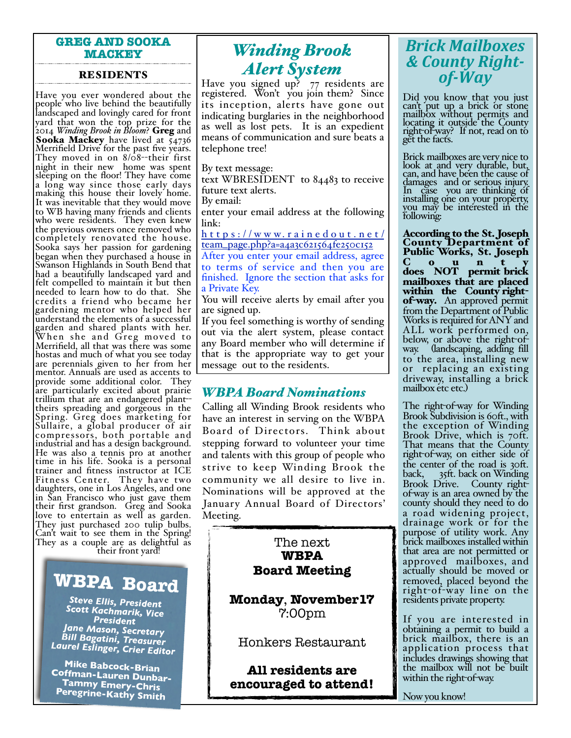#### **GREG AND SOOKA MACKEY**

#### RESIDENTS

Have you ever wondered about the people who live behind the beautifully landscaped and lovingly cared for front yard that won the top prize for the 2014 *Winding Brook in Bloom*? Greg and Sooka Mackey have lived at 54736<br>Merrifield Drive for the past five years. They moved in on 8/08--their first night in their new home was spent sleeping on the floor! They have come a long way since those early days making this house their lovely home. It was inevitable that they would move to WB having many friends and clients who were residents. They even knew the previous owners once removed who completely renovated the house. Sooka says her passion for gardening began when they purchased a house in Swanson Highlands in South Bend that had a beautifully landscaped yard and felt compelled to maintain it but then needed to learn how to do that. She credits a friend who became her gardening mentor who helped her understand the elements of a successful garden and shared plants with her. When she and Greg mo ved to Merrifield, all that was there was some hostas and much of what you see today are perennials given to her from her mentor. Annuals are used as accents to provide some additional color. They are particularly excited about prairie trillium that are an endangered plant- theirs spreading and gorgeous in the Spring. Greg does marketing for Sullaire, a global producer of air compressors, both portable and industrial and has a design background. He was also a tennis pro at another time in his life. Sooka is a personal trainer and fitness instructor at ICE Fitness Center. They have two daughters, one in Los Angeles, and one in San Francisco who just gave them their first grandson. Greg and Sooka love to entertain as well as garden. They just purchased 200 tulip bulbs. Can't wait to see them in the Spring! They as a couple are as delightful as their front yard! The next<br>
The next<br>
The next<br>
The next<br>
The next

**WBPA Board**

*Steve Ellis, President Scott Kachmarik, Vice President Jane Mason, Secretary Bill Bagatini, Treasurer Laurel Eslinger, Crier Editor*

**Mike Babcock-Brian Coffman-Lauren Dunbar-Tammy Emery-Chris<br>Peregrine-Kathy Smith** 

# *Winding Brook Alert System*

Have you signed up? 77 residents are registered. Won't you join them? Since its inception, alerts have gone out indicating burglaries in the neighborhood as well as lost pets. It is an expedient means of communication and sure beats a telephone tree!

By text message:

text WBRESIDENT to 84483 to receive future text alerts.

By email:

enter your email address at the following link:

https://www.rainedout.net/ [team\\_page.php?a=a4a3c621564fe250c152](https://www.rainedout.net/team_page.php?a=a4a3c621564fe250c152)

After you enter your email address, agree to terms of service and then you are finished. Ignore the section that asks for a Private Key.

You will receive alerts by email after you are signed up.

If you feel something is worthy of sending out via the alert system, please contact any Board member who will determine if that is the appropriate way to get your message out to the residents.

#### *WBPA Board Nominations*

Calling all Winding Brook residents who have an interest in serving on the WBPA Board of Directors. Think about stepping forward to volunteer your time and talents with this group of people who strive to keep Winding Brook the community we all desire to live in. Nominations will be approved at the January Annual Board of Directors' Meeting.

# **WBPA Board Meeting**

**Monday**, **November17** 7:00pm

Honkers Restaurant

**All residents are encouraged to attend!**

## *Brick&Mailboxes& &&County&Right8* of-Way

Did you know that you just can't put up a brick or stone mailbox without permits and locating it outside the County right-of-way? If not, read on to get the facts.

Brick mailboxes are very nice to look at and very durable, but, can, and have been the cause of damages and or serious injury. In case you are thinking of installing one on your property, you may be interested in the following:

According to the St. Joseph County Department of Public Works, St. Joseph  $C$  o u n t y does NOT permit brick mailboxes that are placed<br>within the County rightof-way. An approved permit from the Department of Public Works is required for ANY and ALL work performed on, below, or above the right-of- way. (landscaping, adding fill to the area, installing new or replacing an existing driveway, installing a brick mailbox etc etc.)

The right-of-way for Winding Brook Subdivision is 60ft., with the exception of Winding Brook Drive, which is 70ft. That means that the County right-of-way, on either side of the center of the road is 30ft. back, 35ft. back on Winding<br>Brook Drive. County right-Brook Drive. County right- of-way is an area owned by the county should they need to do a road widening project, drainage work or for the purpose of utility work. Any brick mailboxes installed within that area are not permitted or<br>approved mailboxes, and actually should be moved or removed, placed beyond the right-of-way line on the residents private property.

If you are interested in obtaining a permit to build a brick mailbox, there is an application process that includes drawings showing that the mailbox will not be built within the right-of-way.

Now you know!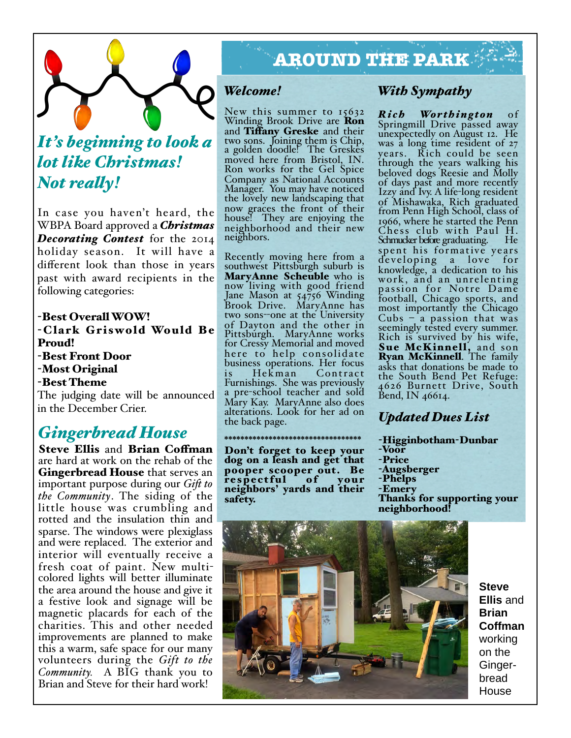

# *It's beginning to look a lot like Christmas! Not realy!*

In case you haven't heard, the WBPA Board approved a *Christmas Decorating Contest* for the 2014 holiday season. It will have a different look than those in years past with award recipients in the following categories:

-Best Overall WOW! -Clark Griswold Would Be Proud! -Best Front Door -Most Original -Best Theme The judging date will be announced in the December Crier.

## *Gingerbread House*

Steve Ellis and Brian Coffman are hard at work on the rehab of the Gingerbread House that serves an important purpose during our *Gif to the Community*. The siding of the little house was crumbling and rotted and the insulation thin and sparse. The windows were plexiglass and were replaced. The exterior and interior will eventually receive a fresh coat of paint. New multicolored lights will better illuminate the area around the house and give it a festive look and signage will be magnetic placards for each of the charities. This and other needed improvements are planned to make this a warm, safe space for our many volunteers during the *Gift to the Community.* A BIG thank you to Brian and Steve for their hard work!

# **AROUND THE PARK**

#### *Welcome!*

New this summer to 15632 Winding Brook Drive are Ron and Tiffany Greske and their two sons. Joining them is Chip, a golden doodle! The Greskes moved here from Bristol, IN. Ron works for the Gel Spice Company as National Accounts Manager. You may have noticed the lovely new landscaping that now graces the front of their house! They are enjoying the neighborhood and their new neighbors.

Recently moving here from a southwest Pittsburgh suburb is MaryAnne Scheuble who is now living with good friend Jane Mason at 54756 Winding Brook Drive. MaryAnne has two sons--one at the University of Dayton and the other in Pittsburgh. MaryAnne works for Cressy Memorial and moved here to help consolidate business operations. Her focus<br>is Hekman Contract Contract Furnishings. She was previously a pre-school teacher and sold Mary Kay. MaryAnne also does alterations. Look for her ad on the back page.

#### Don't forget to keep your dog on a leash and get that pooper scooper out. Be<br>respectful of your respectful neighbors' yards and their safety.

\*\*\*\*\*\*\*\*\*\*\*\*\*\*\*\*\*\*\*\*\*\*\*\*\*\*\*\*\*\*\*\*\*\*

## *With Sympathy*

*Rich Worthington* of Springmill Drive passed away unexpectedly on August 12. He was a long time resident of 27 years. Rich could be seen through the years walking his beloved dogs Reesie and Molly of days past and more recently Izzy and Ivy. A life-long resident of Mishawaka, Rich graduated from Penn High School, class of 1966, where he started the Penn Chess club with Paul H. Schmucker before graduating. He spent his formative years developing a love for knowledge, a dedication to his work, and an unrelenting pa ssion for Notre Dame football, Chicago sports, and most importantly the Chicago Cubs – a passion that was seemingly tested every summer. Rich is survived by his wife, Sue McKinnell, and son Ryan McKinnell. The family asks that donations be made to the South Bend Pet Refuge: 4626 Burnett Drive, South Bend, IN 46614.

## *Updated Dues List*

*-*Higginbotham-Dunbar -Voor -Price -Augsberger -Phelps -Emery Thanks for supporting your neighborhood!



**Steve Ellis** and **Brian Coffman** working on the Gingerbread House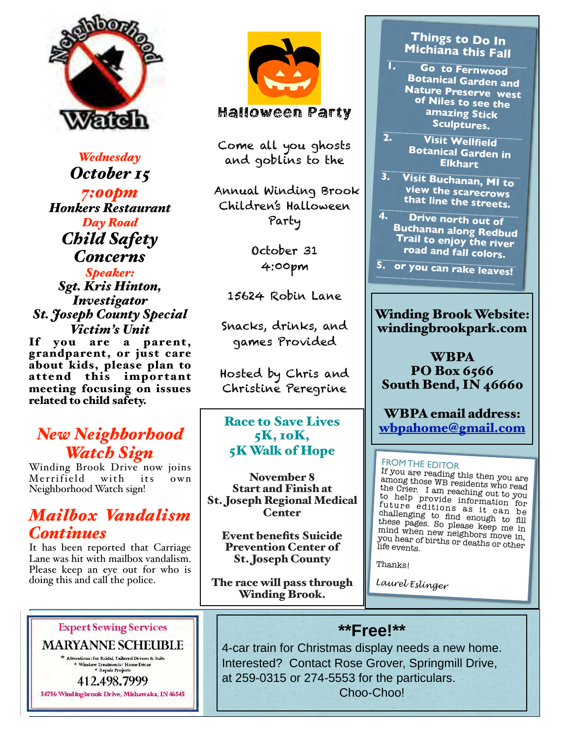

*Wednesday October 15 7:00pm Honkers Restaurant Day Road Child Safety Concerns Speaker:*

*Sgt. Kris Hinton, Investigator St. Joseph County Special Victim's Unit*

If you are a parent, grandparent, or just care about kids, please plan to attend this important meeting focusing on issues related to child safety.

## *New Neighborhood Watch Sign*

Winding Brook Drive now joins<br>Merrifield with its own Merrifield with its own Neighborhood Watch sign!

## *Mailbox Vandalism Continues*

It has been reported that Carriage Lane was hit with mailbox vandalism. Please keep an eye out for who is doing this and call the police.

**Expert Sewing Services** 

**MARYANNE SCHEUBLE** \* Alterations: for Bridal, Tailored Dresses & Suits

Window Treatments/Home Décor<br>\* Repair Projects 412.498.7999

54756 Windingbrook Drive, Mishawaka, IN 46545



#### Halloween Party

Come all you ghosts and goblins to the

 Annual Winding Brook Children's Halloween Party

> October 31 4:00pm

15624 Robin Lane

Snacks, drinks, and games Provided

Hosted by Chris and Christine Peregrine

Race to Save Lives 5K, 10K, 5K Walk of Hope

November 8 Start and Finish at St. Joseph Regional Medical **Center** 

Event benefits Suicide Prevention Center of St. Joseph County

The race will pass through Winding Brook.

#### **Things to Do In Michiana this Fall**

- **1. Go to Fernwood Botanical Garden and Nature Preserve west of Niles to see the amazing Stick Sculptures.**
- **2. Visit Wellfield Botanical Garden in Elkhart**
- **3. Visit Buchanan, MI to view the scarecrows that line the streets.**
- **4. Drive north out of Buchanan along Redbud Trail to enjoy the river road and fall colors.**

**5. or you can rake leaves!**

#### Winding Brook Website: windingbrookpark.com

WBPA PO Box 6566 South Bend, IN 46660

WBPA email address: [wbpahome@gmail.com](mailto:wbpahome@gmail.com)

#### FROM THE EDITOR

If you are reading this then you are among those WB residents who read the Crier. I am reaching out to you to help provide information for future editions as it can be challenging to find enough to fill these pages. So please keep me in mind when new neighbors move in, you hear of births or deaths or other life events.

Thanks!

*Laurel Eslinger*

## **\*\*Free!\*\***

4-car train for Christmas display needs a new home. Interested? Contact Rose Grover, Springmill Drive, at 259-0315 or 274-5553 for the particulars. Choo-Choo!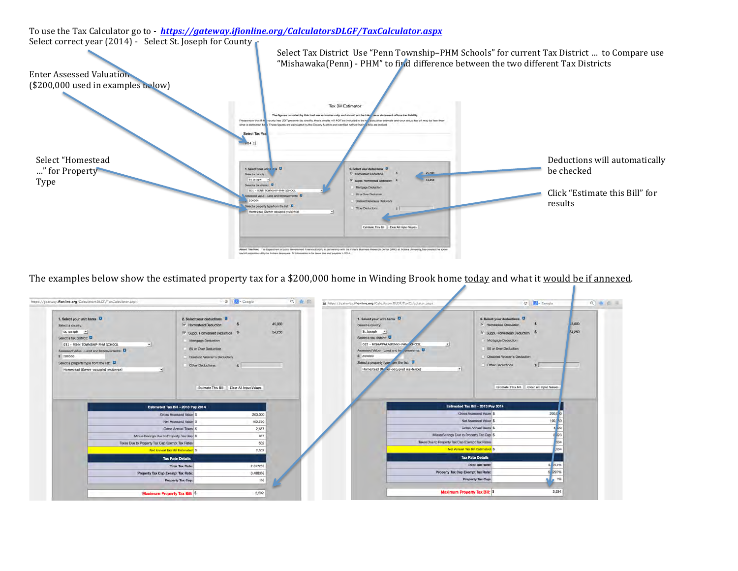Select correct year (2014) - Select St. Joseph for County Select Tax District Use "Penn Township-PHM Schools" for current Tax District ... to Compare use "Mishawaka(Penn) - PHM" to find difference between the two different Tax Districts Enter Assessed Valuation  $($200,000$  used in examples below) Tax Bill Estimator The figures provided by this tool are estimates only and should not be tal as a statement of true tax liability. nty has LOIT property tax credits, those credits will NOT be included in the t ulator estimate and your actual tax bill may be less that Please note that if what is estimated here figures are calculated by the County Auditor and certified before final is are mailed Select Tax Select "Homestead Deductions will automatically ..." for Property 1. Selectyour unit it in a U 2. Select your deductions D be checked 45,00 Select a county. nottoubed basti  $-64,250$ Type $St.$  Joseph  $\cdot$ D x Seect a tax district: O **Mortgage Deduction** 031 - PENN TOWNS Click "Estimate this Bill" for 65 or Over Deduction 100000 results wect a property type from the list: 0 Other Decisitions Estimate This Bill Clear All Input Values

> out This Tool: The Department of Local Government Finance (DLGP), in partnership with the Indiana due and psysble in 2014

The examples below show the estimated property tax for a \$200,000 home in Winding Brook home today and what it would be if annexed.



To use the Tax Calculator go to *- https://gateway.ifionline.org/CalculatorsDLGF/TaxCalculator.aspx*